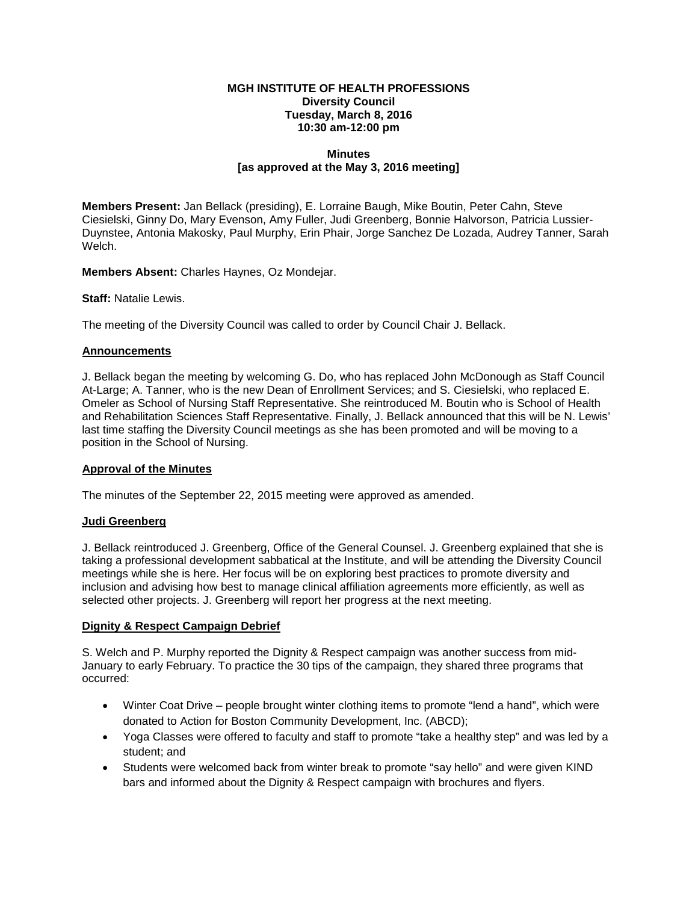#### **MGH INSTITUTE OF HEALTH PROFESSIONS Diversity Council Tuesday, March 8, 2016 10:30 am-12:00 pm**

#### **Minutes [as approved at the May 3, 2016 meeting]**

**Members Present:** Jan Bellack (presiding), E. Lorraine Baugh, Mike Boutin, Peter Cahn, Steve Ciesielski, Ginny Do, Mary Evenson, Amy Fuller, Judi Greenberg, Bonnie Halvorson, Patricia Lussier-Duynstee, Antonia Makosky, Paul Murphy, Erin Phair, Jorge Sanchez De Lozada, Audrey Tanner, Sarah Welch.

**Members Absent:** Charles Haynes, Oz Mondejar.

**Staff:** Natalie Lewis.

The meeting of the Diversity Council was called to order by Council Chair J. Bellack.

#### **Announcements**

J. Bellack began the meeting by welcoming G. Do, who has replaced John McDonough as Staff Council At-Large; A. Tanner, who is the new Dean of Enrollment Services; and S. Ciesielski, who replaced E. Omeler as School of Nursing Staff Representative. She reintroduced M. Boutin who is School of Health and Rehabilitation Sciences Staff Representative. Finally, J. Bellack announced that this will be N. Lewis' last time staffing the Diversity Council meetings as she has been promoted and will be moving to a position in the School of Nursing.

# **Approval of the Minutes**

The minutes of the September 22, 2015 meeting were approved as amended.

# **Judi Greenberg**

J. Bellack reintroduced J. Greenberg, Office of the General Counsel. J. Greenberg explained that she is taking a professional development sabbatical at the Institute, and will be attending the Diversity Council meetings while she is here. Her focus will be on exploring best practices to promote diversity and inclusion and advising how best to manage clinical affiliation agreements more efficiently, as well as selected other projects. J. Greenberg will report her progress at the next meeting.

# **Dignity & Respect Campaign Debrief**

S. Welch and P. Murphy reported the Dignity & Respect campaign was another success from mid-January to early February. To practice the 30 tips of the campaign, they shared three programs that occurred:

- Winter Coat Drive people brought winter clothing items to promote "lend a hand", which were donated to Action for Boston Community Development, Inc. (ABCD);
- Yoga Classes were offered to faculty and staff to promote "take a healthy step" and was led by a student; and
- Students were welcomed back from winter break to promote "say hello" and were given KIND bars and informed about the Dignity & Respect campaign with brochures and flyers.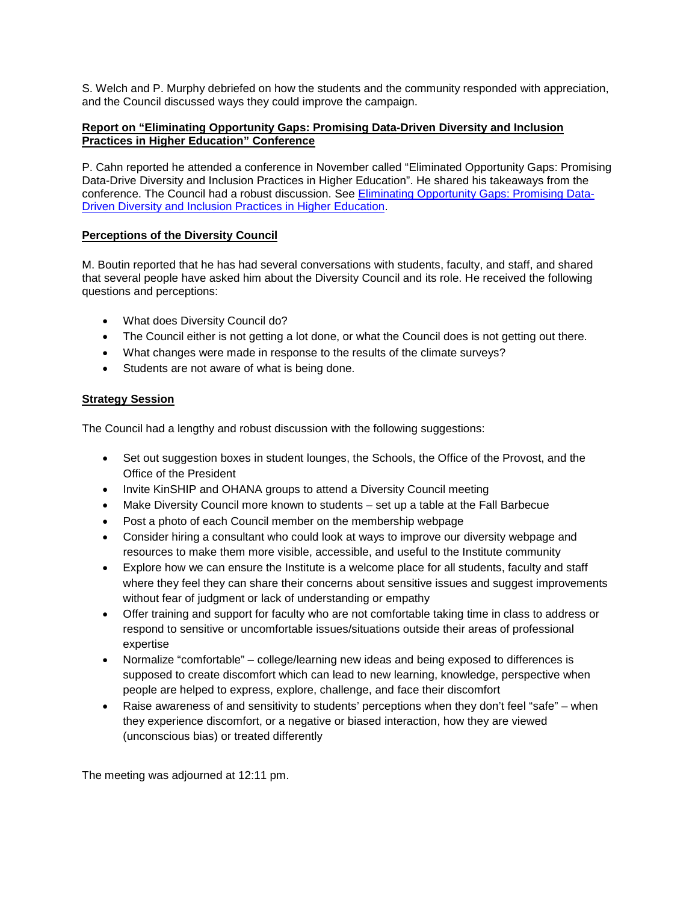S. Welch and P. Murphy debriefed on how the students and the community responded with appreciation, and the Council discussed ways they could improve the campaign.

# **Report on "Eliminating Opportunity Gaps: Promising Data-Driven Diversity and Inclusion Practices in Higher Education" Conference**

P. Cahn reported he attended a conference in November called "Eliminated Opportunity Gaps: Promising Data-Drive Diversity and Inclusion Practices in Higher Education". He shared his takeaways from the conference. The Council had a robust discussion. See [Eliminating Opportunity Gaps: Promising Data-](http://news.holycross.edu/blog/2015/10/28/holy-cross-to-host-higher-education-diversity-conference/)[Driven Diversity and Inclusion Practices in Higher Education.](http://news.holycross.edu/blog/2015/10/28/holy-cross-to-host-higher-education-diversity-conference/)

# **Perceptions of the Diversity Council**

M. Boutin reported that he has had several conversations with students, faculty, and staff, and shared that several people have asked him about the Diversity Council and its role. He received the following questions and perceptions:

- What does Diversity Council do?
- The Council either is not getting a lot done, or what the Council does is not getting out there.
- What changes were made in response to the results of the climate surveys?
- Students are not aware of what is being done.

# **Strategy Session**

The Council had a lengthy and robust discussion with the following suggestions:

- Set out suggestion boxes in student lounges, the Schools, the Office of the Provost, and the Office of the President
- Invite KinSHIP and OHANA groups to attend a Diversity Council meeting
- Make Diversity Council more known to students set up a table at the Fall Barbecue
- Post a photo of each Council member on the membership webpage
- Consider hiring a consultant who could look at ways to improve our diversity webpage and resources to make them more visible, accessible, and useful to the Institute community
- Explore how we can ensure the Institute is a welcome place for all students, faculty and staff where they feel they can share their concerns about sensitive issues and suggest improvements without fear of judgment or lack of understanding or empathy
- Offer training and support for faculty who are not comfortable taking time in class to address or respond to sensitive or uncomfortable issues/situations outside their areas of professional expertise
- Normalize "comfortable" college/learning new ideas and being exposed to differences is supposed to create discomfort which can lead to new learning, knowledge, perspective when people are helped to express, explore, challenge, and face their discomfort
- Raise awareness of and sensitivity to students' perceptions when they don't feel "safe" when they experience discomfort, or a negative or biased interaction, how they are viewed (unconscious bias) or treated differently

The meeting was adjourned at 12:11 pm.